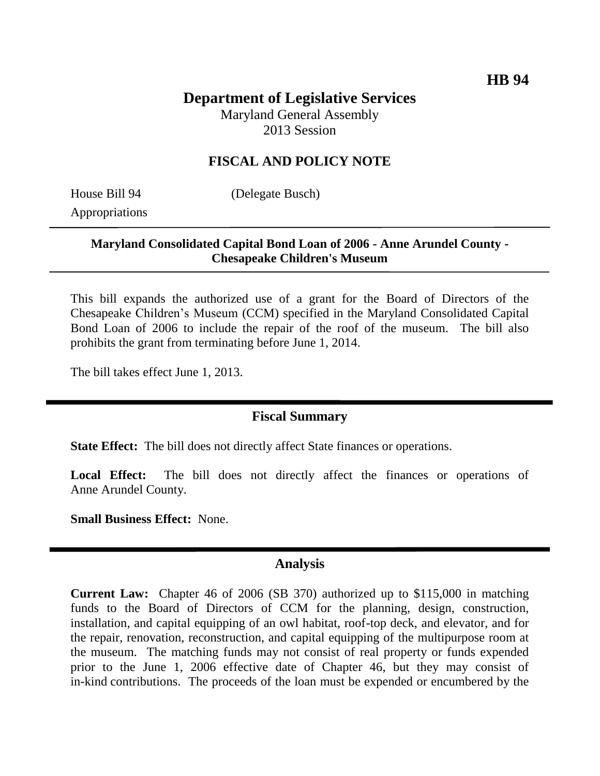# **Department of Legislative Services**

Maryland General Assembly 2013 Session

## **FISCAL AND POLICY NOTE**

Appropriations

House Bill 94 (Delegate Busch)

### **Maryland Consolidated Capital Bond Loan of 2006 - Anne Arundel County - Chesapeake Children's Museum**

This bill expands the authorized use of a grant for the Board of Directors of the Chesapeake Children's Museum (CCM) specified in the Maryland Consolidated Capital Bond Loan of 2006 to include the repair of the roof of the museum. The bill also prohibits the grant from terminating before June 1, 2014.

The bill takes effect June 1, 2013.

#### **Fiscal Summary**

**State Effect:** The bill does not directly affect State finances or operations.

Local Effect: The bill does not directly affect the finances or operations of Anne Arundel County.

**Small Business Effect:** None.

#### **Analysis**

**Current Law:** Chapter 46 of 2006 (SB 370) authorized up to \$115,000 in matching funds to the Board of Directors of CCM for the planning, design, construction, installation, and capital equipping of an owl habitat, roof-top deck, and elevator, and for the repair, renovation, reconstruction, and capital equipping of the multipurpose room at the museum. The matching funds may not consist of real property or funds expended prior to the June 1, 2006 effective date of Chapter 46, but they may consist of in-kind contributions. The proceeds of the loan must be expended or encumbered by the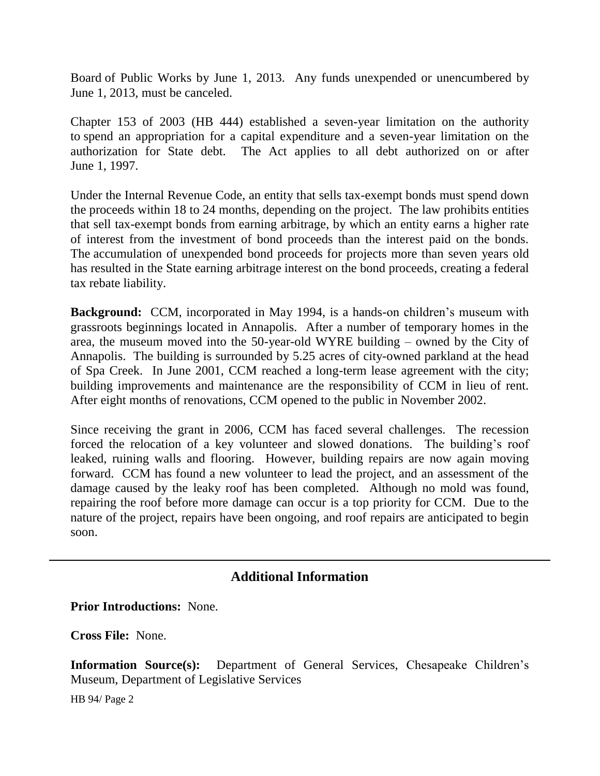Board of Public Works by June 1, 2013. Any funds unexpended or unencumbered by June 1, 2013, must be canceled.

Chapter 153 of 2003 (HB 444) established a seven-year limitation on the authority to spend an appropriation for a capital expenditure and a seven-year limitation on the authorization for State debt. The Act applies to all debt authorized on or after June 1, 1997.

Under the Internal Revenue Code, an entity that sells tax-exempt bonds must spend down the proceeds within 18 to 24 months, depending on the project. The law prohibits entities that sell tax-exempt bonds from earning arbitrage, by which an entity earns a higher rate of interest from the investment of bond proceeds than the interest paid on the bonds. The accumulation of unexpended bond proceeds for projects more than seven years old has resulted in the State earning arbitrage interest on the bond proceeds, creating a federal tax rebate liability.

**Background:** CCM, incorporated in May 1994, is a hands-on children's museum with grassroots beginnings located in Annapolis. After a number of temporary homes in the area, the museum moved into the 50-year-old WYRE building – owned by the City of Annapolis. The building is surrounded by 5.25 acres of city-owned parkland at the head of Spa Creek. In June 2001, CCM reached a long-term lease agreement with the city; building improvements and maintenance are the responsibility of CCM in lieu of rent. After eight months of renovations, CCM opened to the public in November 2002.

Since receiving the grant in 2006, CCM has faced several challenges. The recession forced the relocation of a key volunteer and slowed donations. The building's roof leaked, ruining walls and flooring. However, building repairs are now again moving forward. CCM has found a new volunteer to lead the project, and an assessment of the damage caused by the leaky roof has been completed. Although no mold was found, repairing the roof before more damage can occur is a top priority for CCM. Due to the nature of the project, repairs have been ongoing, and roof repairs are anticipated to begin soon.

## **Additional Information**

**Prior Introductions:** None.

**Cross File:** None.

**Information Source(s):** Department of General Services, Chesapeake Children's Museum, Department of Legislative Services

HB 94/ Page 2